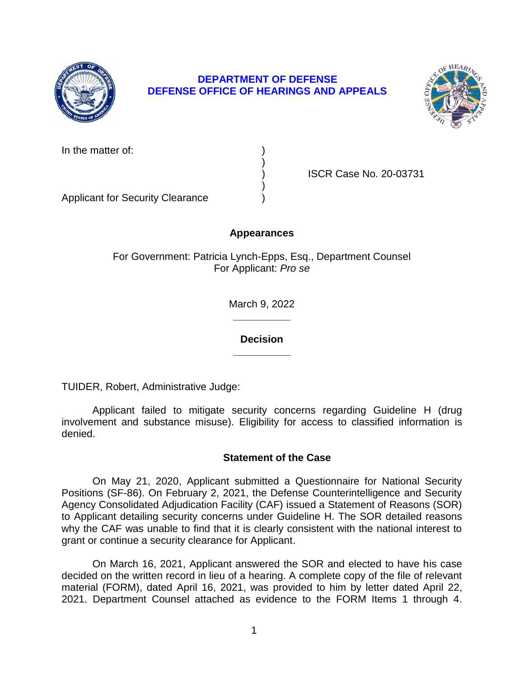

# **DEPARTMENT OF DEFENSE DEFENSE OFFICE OF HEARINGS AND APPEALS**



| In the matter of: |  |
|-------------------|--|
|-------------------|--|

) ISCR Case No. 20-03731

Applicant for Security Clearance )

## **Appearances**

)

)

For Government: Patricia Lynch-Epps, Esq., Department Counsel For Applicant: *Pro se* 

> **\_\_\_\_\_\_\_\_\_\_**  March 9, 2022

**\_\_\_\_\_\_\_\_\_\_ Decision** 

TUIDER, Robert, Administrative Judge:

 Applicant failed to mitigate security concerns regarding Guideline H (drug involvement and substance misuse). Eligibility for access to classified information is denied.

### **Statement of the Case**

 Positions (SF-86). On February 2, 2021, the Defense Counterintelligence and Security Agency Consolidated Adjudication Facility (CAF) issued a Statement of Reasons (SOR) to Applicant detailing security concerns under Guideline H. The SOR detailed reasons why the CAF was unable to find that it is clearly consistent with the national interest to On May 21, 2020, Applicant submitted a Questionnaire for National Security grant or continue a security clearance for Applicant.

 On March 16, 2021, Applicant answered the SOR and elected to have his case decided on the written record in lieu of a hearing. A complete copy of the file of relevant material (FORM), dated April 16, 2021, was provided to him by letter dated April 22, 2021. Department Counsel attached as evidence to the FORM Items 1 through 4.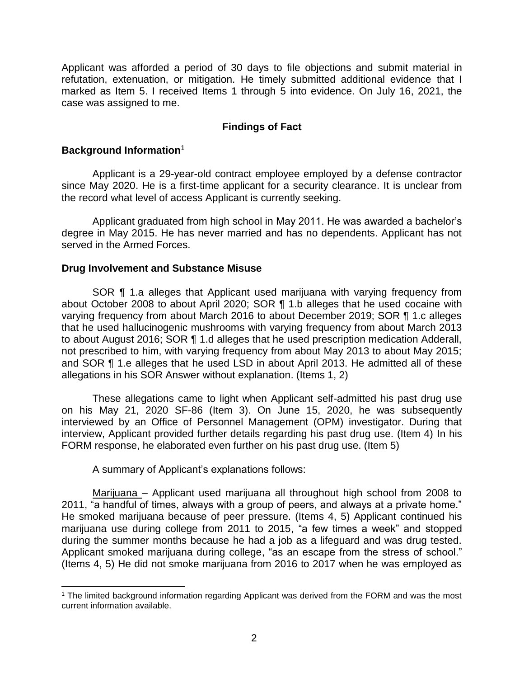Applicant was afforded a period of 30 days to file objections and submit material in refutation, extenuation, or mitigation. He timely submitted additional evidence that I marked as Item 5. I received Items 1 through 5 into evidence. On July 16, 2021, the case was assigned to me.

### **Findings of Fact**

### **Background Information**<sup>1</sup>

 Applicant is a 29-year-old contract employee employed by a defense contractor since May 2020. He is a first-time applicant for a security clearance. It is unclear from the record what level of access Applicant is currently seeking.

 Applicant graduated from high school in May 2011. He was awarded a bachelor's degree in May 2015. He has never married and has no dependents. Applicant has not served in the Armed Forces.

### **Drug Involvement and Substance Misuse**

 SOR ¶ 1.a alleges that Applicant used marijuana with varying frequency from about October 2008 to about April 2020; SOR ¶ 1.b alleges that he used cocaine with varying frequency from about March 2016 to about December 2019; SOR ¶ 1.c alleges that he used hallucinogenic mushrooms with varying frequency from about March 2013 to about August 2016; SOR ¶ 1.d alleges that he used prescription medication Adderall, not prescribed to him, with varying frequency from about May 2013 to about May 2015; and SOR ¶ 1.e alleges that he used LSD in about April 2013. He admitted all of these allegations in his SOR Answer without explanation. (Items 1, 2)

 These allegations came to light when Applicant self-admitted his past drug use on his May 21, 2020 SF-86 (Item 3). On June 15, 2020, he was subsequently interviewed by an Office of Personnel Management (OPM) investigator. During that interview, Applicant provided further details regarding his past drug use. (Item 4) In his FORM response, he elaborated even further on his past drug use. (Item 5)

A summary of Applicant's explanations follows:

Marijuana - Applicant used marijuana all throughout high school from 2008 to 2011, "a handful of times, always with a group of peers, and always at a private home." He smoked marijuana because of peer pressure. (Items 4, 5) Applicant continued his marijuana use during college from 2011 to 2015, "a few times a week" and stopped during the summer months because he had a job as a lifeguard and was drug tested. Applicant smoked marijuana during college, "as an escape from the stress of school." (Items 4, 5) He did not smoke marijuana from 2016 to 2017 when he was employed as

 $\overline{a}$  <sup>1</sup> The limited background information regarding Applicant was derived from the FORM and was the most current information available.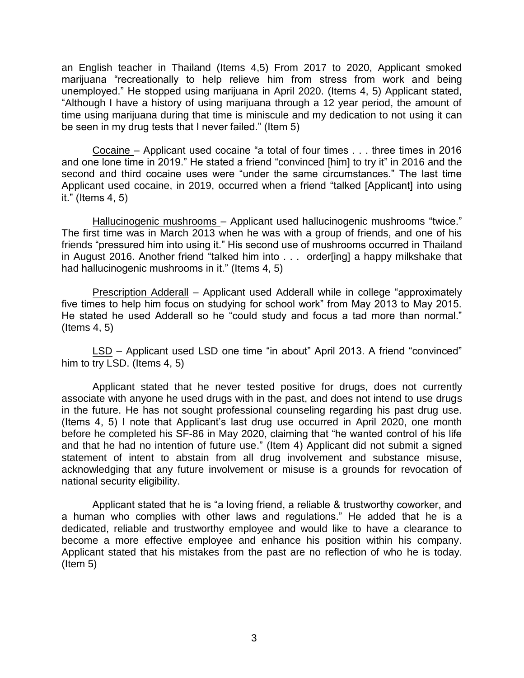an English teacher in Thailand (Items 4,5) From 2017 to 2020, Applicant smoked marijuana "recreationally to help relieve him from stress from work and being unemployed." He stopped using marijuana in April 2020. (Items 4, 5) Applicant stated, "Although I have a history of using marijuana through a 12 year period, the amount of time using marijuana during that time is miniscule and my dedication to not using it can be seen in my drug tests that I never failed." (Item 5)

Cocaine – Applicant used cocaine "a total of four times . . . three times in 2016 and one lone time in 2019." He stated a friend "convinced [him] to try it" in 2016 and the second and third cocaine uses were "under the same circumstances." The last time Applicant used cocaine, in 2019, occurred when a friend "talked [Applicant] into using it." (Items 4, 5)

Hallucinogenic mushrooms - Applicant used hallucinogenic mushrooms "twice." The first time was in March 2013 when he was with a group of friends, and one of his friends "pressured him into using it." His second use of mushrooms occurred in Thailand in August 2016. Another friend "talked him into . . . order[ing] a happy milkshake that had hallucinogenic mushrooms in it." (Items 4, 5)

Prescription Adderall - Applicant used Adderall while in college "approximately five times to help him focus on studying for school work" from May 2013 to May 2015. He stated he used Adderall so he "could study and focus a tad more than normal." (Items 4, 5)

LSD – Applicant used LSD one time "in about" April 2013. A friend "convinced" him to try LSD. (Items 4, 5)

 Applicant stated that he never tested positive for drugs, does not currently associate with anyone he used drugs with in the past, and does not intend to use drugs in the future. He has not sought professional counseling regarding his past drug use. (Items 4, 5) I note that Applicant's last drug use occurred in April 2020, one month before he completed his SF-86 in May 2020, claiming that "he wanted control of his life and that he had no intention of future use." (Item 4) Applicant did not submit a signed statement of intent to abstain from all drug involvement and substance misuse, acknowledging that any future involvement or misuse is a grounds for revocation of national security eligibility.

 Applicant stated that he is "a loving friend, a reliable & trustworthy coworker, and a human who complies with other laws and regulations." He added that he is a dedicated, reliable and trustworthy employee and would like to have a clearance to become a more effective employee and enhance his position within his company. Applicant stated that his mistakes from the past are no reflection of who he is today. (Item 5)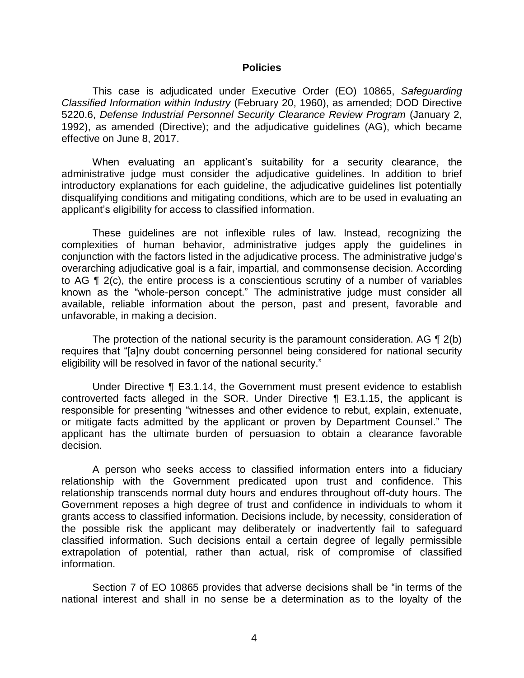#### **Policies**

 *Classified Information within Industry* (February 20, 1960), as amended; DOD Directive 5220.6, *Defense Industrial Personnel Security Clearance Review Program* (January 2, 1992), as amended (Directive); and the adjudicative guidelines (AG), which became This case is adjudicated under Executive Order (EO) 10865, *Safeguarding*  effective on June 8, 2017.

 When evaluating an applicant's suitability for a security clearance, the administrative judge must consider the adjudicative guidelines. In addition to brief introductory explanations for each guideline, the adjudicative guidelines list potentially disqualifying conditions and mitigating conditions, which are to be used in evaluating an applicant's eligibility for access to classified information.

 These guidelines are not inflexible rules of law. Instead, recognizing the complexities of human behavior, administrative judges apply the guidelines in conjunction with the factors listed in the adjudicative process. The administrative judge's overarching adjudicative goal is a fair, impartial, and commonsense decision. According to AG ¶ 2(c), the entire process is a conscientious scrutiny of a number of variables known as the "whole-person concept." The administrative judge must consider all available, reliable information about the person, past and present, favorable and unfavorable, in making a decision.

The protection of the national security is the paramount consideration. AG  $\P$  2(b) eligibility will be resolved in favor of the national security." requires that "[a]ny doubt concerning personnel being considered for national security

 Under Directive ¶ E3.1.14, the Government must present evidence to establish controverted facts alleged in the SOR. Under Directive ¶ E3.1.15, the applicant is responsible for presenting "witnesses and other evidence to rebut, explain, extenuate, or mitigate facts admitted by the applicant or proven by Department Counsel." The applicant has the ultimate burden of persuasion to obtain a clearance favorable decision.

 A person who seeks access to classified information enters into a fiduciary relationship with the Government predicated upon trust and confidence. This relationship transcends normal duty hours and endures throughout off-duty hours. The Government reposes a high degree of trust and confidence in individuals to whom it grants access to classified information. Decisions include, by necessity, consideration of the possible risk the applicant may deliberately or inadvertently fail to safeguard classified information. Such decisions entail a certain degree of legally permissible extrapolation of potential, rather than actual, risk of compromise of classified information.

 Section 7 of EO 10865 provides that adverse decisions shall be "in terms of the national interest and shall in no sense be a determination as to the loyalty of the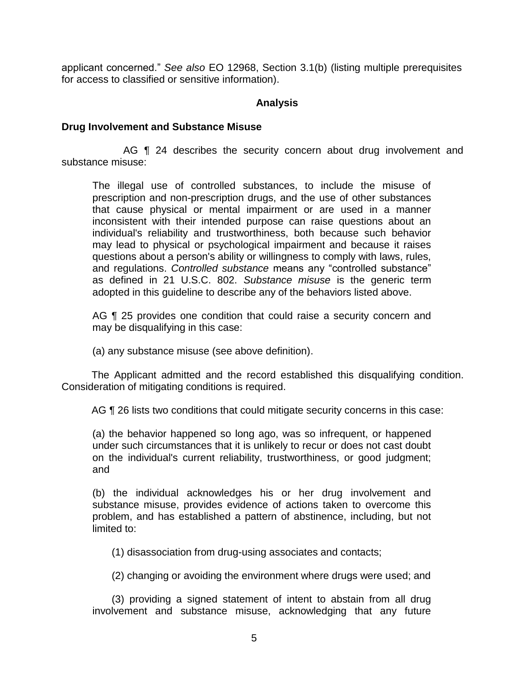applicant concerned." *See also* EO 12968, Section 3.1(b) (listing multiple prerequisites for access to classified or sensitive information).

### **Analysis**

### **Drug Involvement and Substance Misuse**

AG **[1** 24 describes the security concern about drug involvement and substance misuse:

The illegal use of controlled substances, to include the misuse of prescription and non-prescription drugs, and the use of other substances that cause physical or mental impairment or are used in a manner inconsistent with their intended purpose can raise questions about an individual's reliability and trustworthiness, both because such behavior may lead to physical or psychological impairment and because it raises questions about a person's ability or willingness to comply with laws, rules, and regulations. *Controlled substance* means any "controlled substance" as defined in 21 U.S.C. 802. *Substance misuse* is the generic term adopted in this guideline to describe any of the behaviors listed above.

AG ¶ 25 provides one condition that could raise a security concern and may be disqualifying in this case:

(a) any substance misuse (see above definition).

 The Applicant admitted and the record established this disqualifying condition. Consideration of mitigating conditions is required.

AG  $\P$  26 lists two conditions that could mitigate security concerns in this case:

(a) the behavior happened so long ago, was so infrequent, or happened under such circumstances that it is unlikely to recur or does not cast doubt on the individual's current reliability, trustworthiness, or good judgment; and

(b) the individual acknowledges his or her drug involvement and substance misuse, provides evidence of actions taken to overcome this problem, and has established a pattern of abstinence, including, but not limited to:

(1) disassociation from drug-using associates and contacts;

(2) changing or avoiding the environment where drugs were used; and

(3) providing a signed statement of intent to abstain from all drug involvement and substance misuse, acknowledging that any future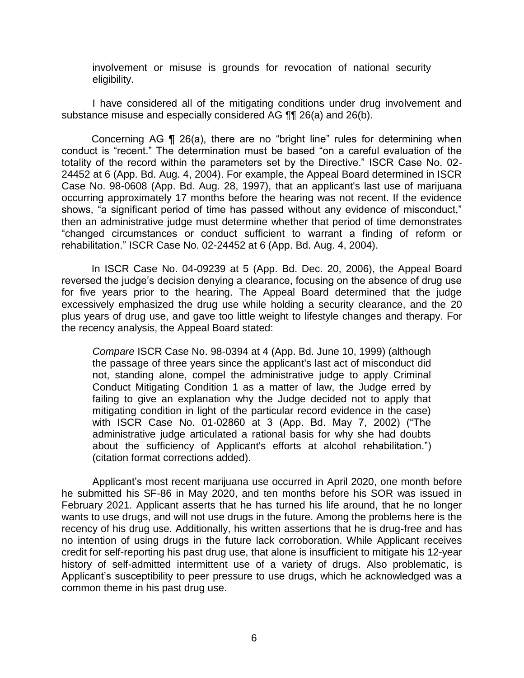involvement or misuse is grounds for revocation of national security eligibility.

 I have considered all of the mitigating conditions under drug involvement and substance misuse and especially considered AG ¶¶ 26(a) and 26(b).

Concerning AG ¶ 26(a), there are no "bright line" rules for determining when conduct is "recent." The determination must be based "on a careful evaluation of the totality of the record within the parameters set by the Directive." ISCR Case No. 02- 24452 at 6 (App. Bd. Aug. 4, 2004). For example, the Appeal Board determined in ISCR Case No. 98-0608 (App. Bd. Aug. 28, 1997), that an applicant's last use of marijuana occurring approximately 17 months before the hearing was not recent. If the evidence shows, "a significant period of time has passed without any evidence of misconduct," then an administrative judge must determine whether that period of time demonstrates "changed circumstances or conduct sufficient to warrant a finding of reform or rehabilitation." ISCR Case No. 02-24452 at 6 (App. Bd. Aug. 4, 2004).

In ISCR Case No. 04-09239 at 5 (App. Bd. Dec. 20, 2006), the Appeal Board reversed the judge's decision denying a clearance, focusing on the absence of drug use for five years prior to the hearing. The Appeal Board determined that the judge excessively emphasized the drug use while holding a security clearance, and the 20 plus years of drug use, and gave too little weight to lifestyle changes and therapy. For the recency analysis, the Appeal Board stated:

*Compare* ISCR Case No. 98-0394 at 4 (App. Bd. June 10, 1999) (although the passage of three years since the applicant's last act of misconduct did not, standing alone, compel the administrative judge to apply Criminal Conduct Mitigating Condition 1 as a matter of law, the Judge erred by failing to give an explanation why the Judge decided not to apply that mitigating condition in light of the particular record evidence in the case) with ISCR Case No. 01-02860 at 3 (App. Bd. May 7, 2002) ("The administrative judge articulated a rational basis for why she had doubts about the sufficiency of Applicant's efforts at alcohol rehabilitation.") (citation format corrections added).

 Applicant's most recent marijuana use occurred in April 2020, one month before he submitted his SF-86 in May 2020, and ten months before his SOR was issued in February 2021. Applicant asserts that he has turned his life around, that he no longer wants to use drugs, and will not use drugs in the future. Among the problems here is the recency of his drug use. Additionally, his written assertions that he is drug-free and has no intention of using drugs in the future lack corroboration. While Applicant receives credit for self-reporting his past drug use, that alone is insufficient to mitigate his 12-year history of self-admitted intermittent use of a variety of drugs. Also problematic, is Applicant's susceptibility to peer pressure to use drugs, which he acknowledged was a common theme in his past drug use.